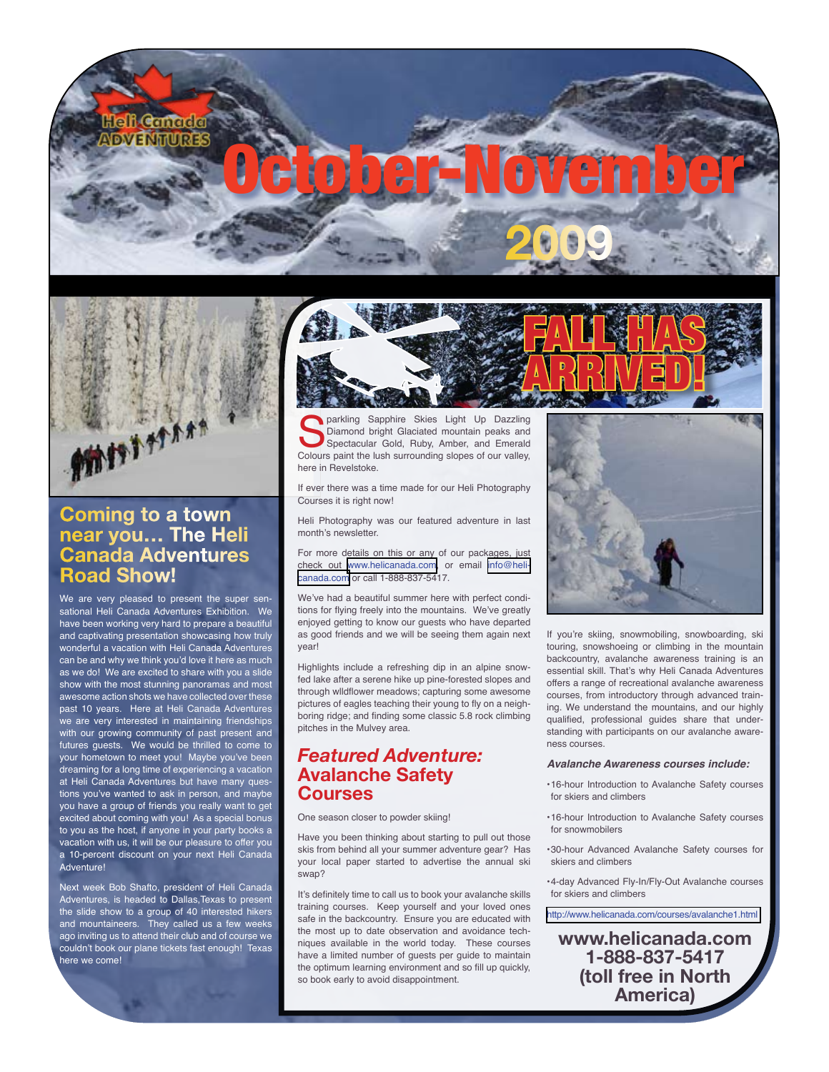



## **Coming to a town near you… The Heli Canada Adventures Road Show!**

We are very pleased to present the super sensational Heli Canada Adventures Exhibition. We have been working very hard to prepare a beautiful and captivating presentation showcasing how truly wonderful a vacation with Heli Canada Adventures can be and why we think you'd love it here as much as we do! We are excited to share with you a slide show with the most stunning panoramas and most awesome action shots we have collected over these past 10 years. Here at Heli Canada Adventures we are very interested in maintaining friendships with our growing community of past present and futures guests. We would be thrilled to come to your hometown to meet you! Maybe you've been dreaming for a long time of experiencing a vacation at Heli Canada Adventures but have many questions you've wanted to ask in person, and maybe you have a group of friends you really want to get excited about coming with you! As a special bonus to you as the host, if anyone in your party books a vacation with us, it will be our pleasure to offer you a 10-percent discount on your next Heli Canada Adventure!

Next week Bob Shafto, president of Heli Canada Adventures, is headed to Dallas,Texas to present the slide show to a group of 40 interested hikers and mountaineers. They called us a few weeks ago inviting us to attend their club and of course we couldn't book our plane tickets fast enough! Texas here we come!



**Sparkling Sapphire Skies Light Up Dazzling Diamond bright Glaciated mountain peaks and Spectacular Gold, Ruby, Amber, and Emerald Colours paint the lush surrounding slopes of our valley,** Diamond bright Glaciated mountain peaks and Spectacular Gold, Ruby, Amber, and Emerald here in Revelstoke.

If ever there was a time made for our Heli Photography Courses it is right now!

Heli Photography was our featured adventure in last month's newsletter.

For more details on this or any of our packages, just check out [www.helicanada.com](mailto:info@helicanada.com), or email [info@heli](mailto:info@helicanada.com)[canada.com](mailto:info@helicanada.com) or call 1-888-837-5417.

We've had a beautiful summer here with perfect conditions for flying freely into the mountains. We've greatly enjoyed getting to know our guests who have departed as good friends and we will be seeing them again next year!

Highlights include a refreshing dip in an alpine snowfed lake after a serene hike up pine-forested slopes and through wlldflower meadows; capturing some awesome pictures of eagles teaching their young to fly on a neighboring ridge; and finding some classic 5.8 rock climbing pitches in the Mulvey area.

### *Featured Adventure:*  **Avalanche Safety Courses**

One season closer to powder skiing!

Have you been thinking about starting to pull out those skis from behind all your summer adventure gear? Has your local paper started to advertise the annual ski swap?

It's definitely time to call us to book your avalanche skills training courses. Keep yourself and your loved ones safe in the backcountry. Ensure you are educated with the most up to date observation and avoidance techniques available in the world today. These courses have a limited number of guests per guide to maintain the optimum learning environment and so fill up quickly, so book early to avoid disappointment.



If you're skiing, snowmobiling, snowboarding, ski touring, snowshoeing or climbing in the mountain backcountry, avalanche awareness training is an essential skill. That's why Heli Canada Adventures offers a range of recreational avalanche awareness courses, from introductory through advanced training. We understand the mountains, and our highly qualified, professional guides share that understanding with participants on our avalanche awareness courses.

#### *Avalanche Awareness courses include:*

- •16-hour Introduction to Avalanche Safety courses for skiers and climbers
- •16-hour Introduction to Avalanche Safety courses for snowmobilers
- •30-hour Advanced Avalanche Safety courses for skiers and climbers

•4-day Advanced Fly-In/Fly-Out Avalanche courses for skiers and climbers

[http://www.helicanada.com/courses/avalanche1.html](http://www.helicanada.com/courses/avalanche1.html )

**www.helicanada.com 1-888-837-5417 (toll free in North America)**